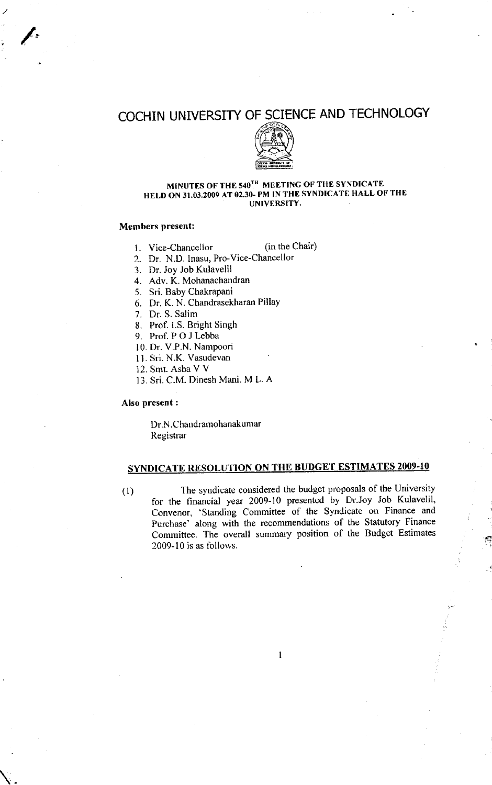# COCHIN UNIVERSITY OF SCIENCE AND TECHNOLOGY



#### MINUTES OF THE 540TH MEETING OF THE SYNDICATE HELD ON 31.03.2009 AT 02.30- PM IN THE SYNDICATE HALL OF THE UNIVERSITY.

### Members present:

 $\overline{\mathscr{L}}$ 

- 1. Vice-Chancellor (in the Chair)
- 2. Dr. N.D. lnasu, Pro-Vice-Chancellor
- 3. Dr. Joy Job Kulavelil
- 4. Adv. K. Mohanachandran
- 5. Sri. Baby Chakrapani
- 6. Dr. K. N. Chandrasekharan PillaY
- 7. Dr. S. Salim
- 8. Prof. I.S. Bright Singh
- 9. Prof.POJLebba
- 10. Dr. V.P.N. NamPoori
- 11. Sri. N.K. Vasudevan
- 12. Smt. Asha V V
- 13. Sri. C.M. Dinesh Mani. M L. A

### Also present :

Dr.N.Chandramohanakumar Registrar

### SYNDICATE RESOLUTION ON THE BUDGET ESTIMATES 2009-10

(1) The syndicate considered the budget proposals of the University for the financial year 2009-10 presented by Drr.Joy Job Kulavelil, Convenor, 'standing Committee of the Syndicate on Finance and Purchase' along with the recommendations of the Statutory Finance Committee. The overall summary position of the Budget Estimates  $2009 - 10$  is as follows.

I

.i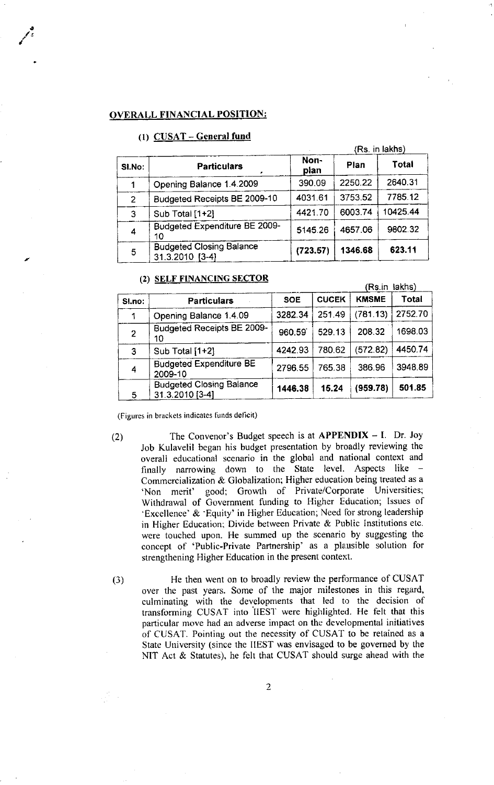#### OVERALL FINANCIAL POSITION:

### (1) CUSAT - General fund

|                |                                                    | (Rs. in lakhs) |         |          |  |
|----------------|----------------------------------------------------|----------------|---------|----------|--|
| <b>SI.No:</b>  | <b>Particulars</b>                                 | Non-<br>pian   | Plan    | Total    |  |
|                | Opening Balance 1.4.2009                           | 390.09         | 2250.22 | 2640.31  |  |
| $\overline{2}$ | Budgeted Receipts BE 2009-10                       | 4031.61        | 3753.52 | 7785.12  |  |
| 3              | Sub Total [1+2]                                    | 4421.70        | 6003.74 | 10425.44 |  |
| 4              | <b>Budgeted Expenditure BE 2009-</b><br>10         | 5145.26        | 4657.06 | 9802.32  |  |
| 5              | <b>Budgeted Closing Balance</b><br>31.3.2010 [3-4] | (723.57)       | 1346.68 | 623.11   |  |

### (2) SELF FINANCING SECTOR

|                |                                                    | (Rs.in lakhs) |              |              |         |  |
|----------------|----------------------------------------------------|---------------|--------------|--------------|---------|--|
| SI.no:         | <b>Particulars</b>                                 | <b>SOE</b>    | <b>CUCEK</b> | <b>KMSME</b> | Total   |  |
|                | Opening Balance 1.4.09                             | 3282.34       | 251 49       | (781.13)     | 2752.70 |  |
| $\overline{2}$ | Budgeted Receipts BE 2009-<br>10                   | 960.59        | 529.13       | 208.32       | 1698.03 |  |
| 3              | Sub Total [1+2]                                    | 4242.93       | 780.62       | (572.82)     | 4450.74 |  |
| 4              | <b>Budgeted Expenditure BE</b><br>2009-10          | 2796.55       | 765.38       | 386.96       | 3948.89 |  |
| 5              | <b>Budgeted Closing Balance</b><br>31.3.2010 [3-4] | 1446.38       | 15.24        | (959.78)     | 501.85  |  |

(Figures in brackets indicates funds deficit)

a

(2) The Convenor's Budget speech is at  $APPENDIX - I$ . Dr. Joy Job Kulavelil began his budget presentation by broadly reviewing the overall educational scenario in the global and national context and finally narrowing down to the State level. Aspects like -Commercialization & Globalization; Higher education being treated as a 'Non merit' good; Growth of Private/Corporate Universities; Withdrawal of Government funding to Higher Education; Issues of 'Excellence' & 'Equity' in Higher Education; Need for strong leadership in Higher Education; Divide between Private & Public Institutions etc. were touched upon. He summed up the scenario by suggesting the concept of 'Public-Private Partnership' as a plausible solution for strengthening Higher Education in the present context.

(3) He then went on to broadly review the performance of CUSAT over the past years. Some of the major milestones in this regard, culminating with the developments that led to the decision of transforming CUSAT into IIEST were highlighted. He felt that this particular move had an adverse impact on the developmental initiatives of CUSAT. Pointing out the necessity of CUSAT to be retained as <sup>a</sup> State Universily (since the IIEST was envisaged to be governed by the NIT Act  $&$  Statutes), he felt that CUSAT should surge ahead with the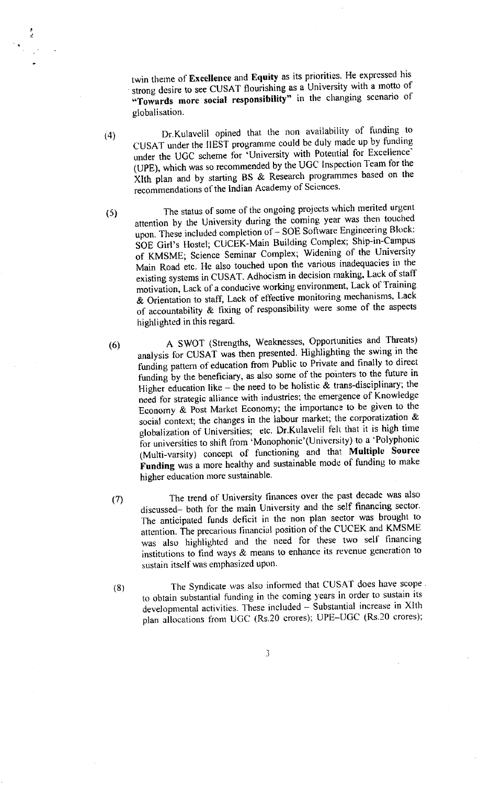twin theme of Excellence and Equity as its priorities. He expressed his strong desire to see CUSAT flourishing as a University with a motto of "Towards more social responsibility" in the changing scenario of globalisation.

- Dr.Kulavelil opined that the non availability of funding to  $(4)$ CUSAT under the IIEST programme could be duly made up by funding under the UGC scheme for 'University with Potential for Excellence' (UPE), which was so recommended by the UGC Inspection Team for the XIth plan and by starting BS & Research programmes based on the recommendations of the Indian Academy of Sciences.
- The status of some of the ongoing projects which merited urgent  $(5)$ attention by the University during the coming year was then touched upon. These included completion of  $-$  SOE Software Engineering Block: SOE Girl's Hostel; CUCEK-Main Building Complex; Ship-in-Campus of KMSME; Science Seminar Complex; Widening of the University Main Road etc. He also touched upon the various inadequacies in the existing systems in CUSAT. Adhocism in decision making, Lack of staff motivation, Lack of a conducive working environment, Lack of Training & Orientation to staff, Lack of effective monitoring mechanisms, Lack of accountability & fixing of responsibility were some of the aspects highlighted in this regard.
- A SWOT (Strengths, Weaknesses, Opportunities and Threats)  $(6)$ analysis for CUSAT was then presented. Highlighting the swing in the funding pattern of education from Public to Private and finally to direct funding by the beneficiary, as also some of the pointers to the future in Higher education like – the need to be holistic  $\hat{\mathbf{x}}$  trans-disciplinary; the need for strategic alliance with industries; the emergence of Knowledge Economy & Post Market Economy; the importance to be given to the social context; the changes in the labour market; the corporatization & globalization of Universities; etc. Dr.Kulavelil felt that it is high time for universities to shift from 'Monophonic'(University) to a 'Polyphonic (Multi-varsity) concept of functioning and that Multiple Source Funding was a more healthy and sustainable mode of funding to make higher education more sustainable.
- The trend of University finances over the past decade was also  $(7)$ discussed- both for the main University and the self financing sector. The anticipated funds deficit in the non plan sector was brought to attention. The precarious financial position of the CUCEK and KMSME was also highlighted and the need for these two self financing institutions to find ways & means to enhance its revenue generation to sustain itself was emphasized upon.
- The Syndicate was also informed that CUSAT does have scope.  $(8)$ to obtain substantial funding in the coming years in order to sustain its developmental activities. These included - Substantial increase in XIth plan allocations from UGC (Rs.20 crores); UPE-UGC (Rs.20 crores);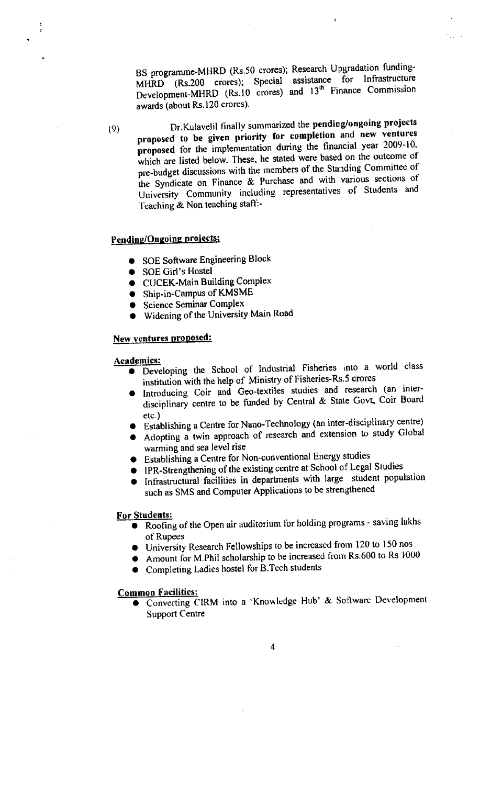BS programme-MHRD (Rs.50 crores); Research Upgradation funding-MHRD (Rs.200 crores); Special assistance for Infrastructure Development-MHRD (Rs.10 crores) and 13<sup>th</sup> Finance Commission awards (about Rs.120 crores).

 $(9)$ 

Dr.Kulavelil finally summarized the pending/ongoing projects proposed to be given priority for completion and new ventures proposed for the implementation during the financial year 2009-10. which are listed below. These, he stated were based on the outcome of pre-budget discussions with the members of the Standing Committee of the Syndicate on Finance & Purchase and with various sections of University Community including representatives of Students and Teaching & Non teaching staff:-

### Pending/Ongoing projects:

- SOE Software Engineering Block
- SOE Girl's Hostel
- CUCEK-Main Building Complex
- Ship-in-Campus of KMSME
- Science Seminar Complex
- · Widening of the University Main Road

#### New ventures proposed:

#### Academics:

- · Developing the School of Industrial Fisheries into a world class institution with the help of Ministry of Fisheries-Rs.5 crores
- Introducing Coir and Geo-textiles studies and research (an interdisciplinary centre to be funded by Central & State Govt, Coir Board  $etc.$ )
- Establishing a Centre for Nano-Technology (an inter-disciplinary centre)
- Adopting a twin approach of research and extension to study Global warming and sea level rise
- Establishing a Centre for Non-conventional Energy studies
- IPR-Strengthening of the existing centre at School of Legal Studies
- Infrastructural facilities in departments with large student population such as SMS and Computer Applications to be strengthened

### For Students:

- Roofing of the Open air auditorium for holding programs saving lakhs of Rupees
- University Research Fellowships to be increased from 120 to 150 nos
- Amount for M.Phil scholarship to be increased from Rs.600 to Rs  $1000$
- Completing Ladies hostel for B.Tech students

### **Common Facilities:**

• Converting CIRM into a 'Knowledge Hub' & Software Development **Support Centre**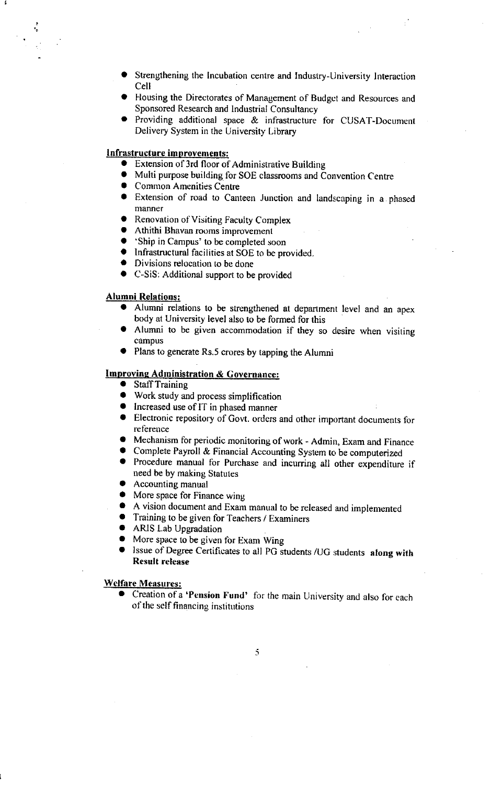- Strengthening the Incubation centre and Industry-University Interaction Cell
- Housing the Directorates of Management of Budget and Resources and Sponsored Research and Industrial Consultancy
- Providing additional space & infrastructure for CUSAT-Document Delivery System in the University Library

### Infrastructure improvements:

- Extension of 3rd floor of Administrative Building  $\bullet$
- Multi purpose building for SOE classrooms and Convention Centre
- Common Amenities Centre
- Extension of road to Canteen Junction and landscaping in a phased manner
- Renovation of Visiting Faculty Complex
- Athithi Bhavan rooms improvement
- 'Ship in Campus' to be completed soon
- Infrastructural facilities at SOE to be provided.
- Divisions relocation to be done
- C-SiS: Additional support to be provided

### **Alumni Relations:**

- $\bullet$ Alumni relations to be strengthened at department level and an apex body at University level also to be formed for this
- Alumni to be given accommodation if they so desire when visiting campus
- Plans to generate Rs.5 crores by tapping the Alumni

### **Improving Administration & Governance:**

- Staff Training
- Work study and process simplification
- Increased use of IT in phased manner
- Electronic repository of Govt. orders and other important documents for reference
- Mechanism for periodic monitoring of work Admin, Exam and Finance
- Complete Payroll & Financial Accounting System to be computerized
- Procedure manual for Purchase and incurring all other expenditure if need be by making Statutes
- Accounting manual
- More space for Finance wing
- A vision document and Exam manual to be released and implemented
- Training to be given for Teachers / Examiners
- ARIS Lab Upgradation
- More space to be given for Exam Wing
- Issue of Degree Certificates to all PG students /UG students along with **Result release**

**Welfare Measures:** 

Creation of a 'Pension Fund' for the main University and also for each of the self financing institutions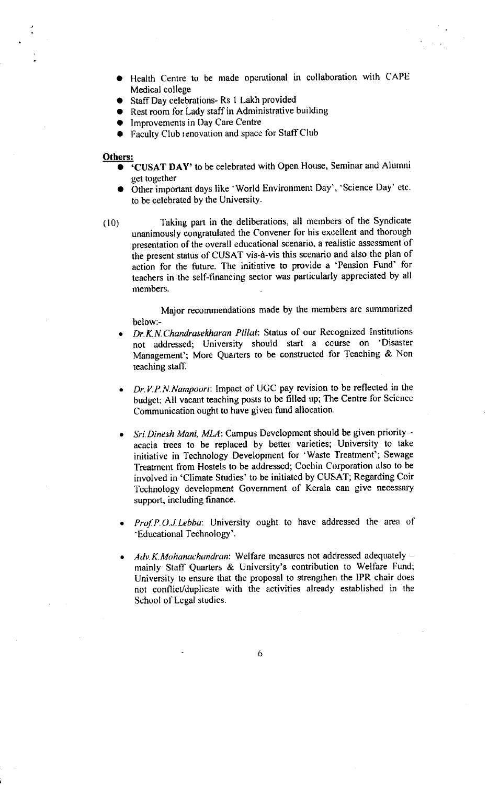- o Health Centre to be nrade operational in collaboration with CAPE Medical college
- **•** Staff Day celebrations- Rs 1 Lakh provided
- Rest room for Lady staff in Administrative building
- Improvements in Day Care Centre
- Faculty Club renovation and space for Staff Club

#### Others:

- CUSAT DAY' to be celebrated with Open House, Seminar and Alumni get together
- Other important days like 'World Environment Day', 'Science Day' etc. to be celebrated by the University.
- ( l0) Taking part in the deliberations, all members of the Syndicate unanimously congratulated the Convener for his excellent and thorough presentation of the overall educational scenario, a realistic assessment of ihe present status of CUSAT vis-d-vis thls scenario and also the plan of action for the future. The initiative to provide a 'Pension Fund' for teachers in the self-ftnancing sector was parlicularly appreciated by all members.

Major recommendations made by the members are summarized below:-

- Dr. K. N. Chandrasekharan Pillai: Status of our Recognized Institutions not addressed; University should start a course on 'Disaster Management': More Quarters to be constructed for Teaching & Non teaching staff. a
- Dr.V.P.N.Nampoori: Impact of UGC pay revision to be reflected in the budget; All vacant teaching posts to be filled up; The Centre for Science Communication ought to have given fund allocation
- a Sri. Dinesh Mani, MLA: Campus Development should be given priority  $$ acacia trees to be replaced by better varieties; University to take initiative in Technology Development for 'Waste Treatment'; Sewage Treatment from Hostels to be addressed; Cochin Corporation also to be involved in'Climate Studies'to be initiated by CUSAT; Regarding Coir Technology development Government of Kerala can give necessary support, including finance.
- a Prof. P.O.J. Lebba: University ought to have addressed the area of -Educational Technology'.
- $Adv.K.Mohanach and ran: Welfare measures not addressed adequately$ mainly Staff Quarters & University's contribution to Welfare Fund; University to ensure that the proposal to strengther the IPR chair does not conflict/duplicate with the activities already established in the School of Legal studies. a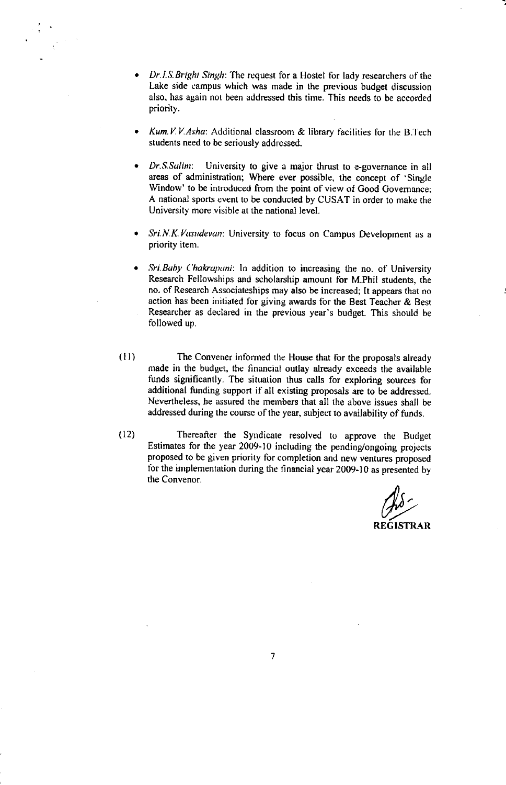- Dr.I.S.Bright Singh: The request for a Hostel for lady researchers of the Lake side campus which was made in the previous budget discussion also, has again not been addressed this time. This needs to be accorded priority.
- Kum. V.V.Asha: Additional classroom  $\&$  library facilities for the B.Tech students need to be seriously addressed. a
- Dr.S.Sulim: University to give a major thrust to e-governance in all areas of administration; Where ever possible, the concept of 'Single Window' to be introduced from the point of view of Good Governance; A national sports event to be conducted by CUSAT in order to make the University more visible at the national level. a
- Sri. N. K. Vasudevan: University to focus on Campus Development as a priority item. a
- Sri.Buby Chakrapani: In addition to increasing the no. of University Research Fellowships and scholarship amount for M.Phil students, the no. of Research Associateships may also be increased; lt appears that no action has been initiated for giving awards for the Best Teacher  $\&$  Best Researcher as declared in the previous year's budget. This should be followed up. a
- The Convener informed the House that for the proposals already made in the budget, the financial outlay already exceeds the available funds significantly. The situation thus calls for exploring sources for additional funding support if all existing proposals are to be addressed. Nevertheless, he assured the members that all the above issues shall be addressed during the coursc of the year, subject to availability of funds. (ll)
- Thereafter the Syndicate resolved to approve the Budget Estimates for the year 2009-10 including the pending/ongoing projccts proposed to be given prioriry for completion and ne\y ventures proposed for the implementation during the financial year 2009-10 as presented by the Convenor.  $(12)$

REGISTRAR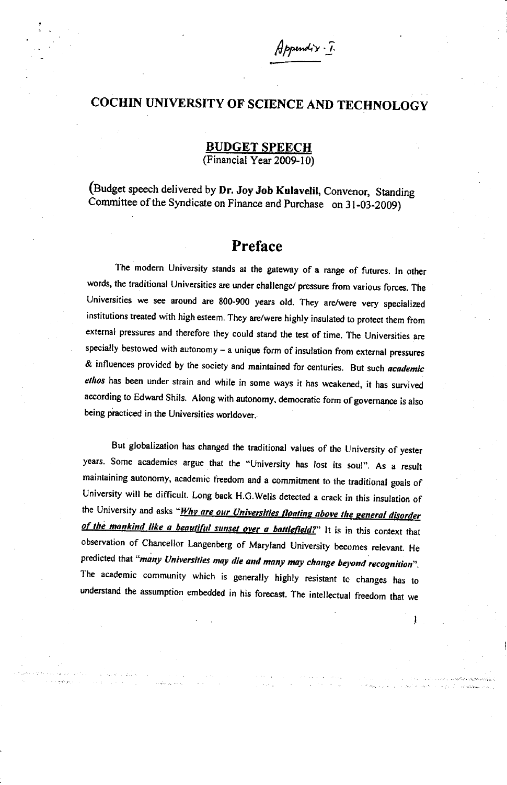## COCHIN UNIVERSITY OF SCIENCE AND TECHNOLOGY

 $Appundix$ 

**BUDGET SPEECH** (Financial Year 2009-10)

(Budget speech delivered by Dr. Joy Job Kulavelil, Convenor, Standing Committee of the Syndicate on Finance and Purchase on 31-03-2009)

### Preface

The modern University stands at the gateway of a range of futures. In other words, the traditional Universities are under challenge/ pressure from various forces. The Universities we see around are 800-900 years old. They are/were very specialized institutions treated with high esteem. They are/were highly insulated to protect them from external pressures and therefore they could stand the test of time. The Universities are specially bestowed with autonomy  $-$  a unique form of insulation from external pressures & influences provided by the society and maintained for centuries. But such *academic* ethos has been under strain and while in some ways it has weakened, it has survived according to Edward Shils. Along with autonomy, democratic form of governance is also being practiced in the Universities worldover.

But globalization has changed the traditional values of the University of yester years. Some academics argue that the "University has lost its soul". As a result maintaining autonomy, academic freedom and a commitment to the traditional goals of University will be difficult. Long back H.G.wells derected a crack in this insulation of the University and asks "*Why are our Universities floating above the general disorder* of the mankind like a beautiful sunset over a battlefield?" It is in this context that observation of Chancellor Langenberg of Maryland University becomes relevant. He predicted that "many Universities may die and many may change beyond recognition". The academic community which is generally highly resistant to changes has to understand the assumption embedded in his forecast. The intellectual freedom that we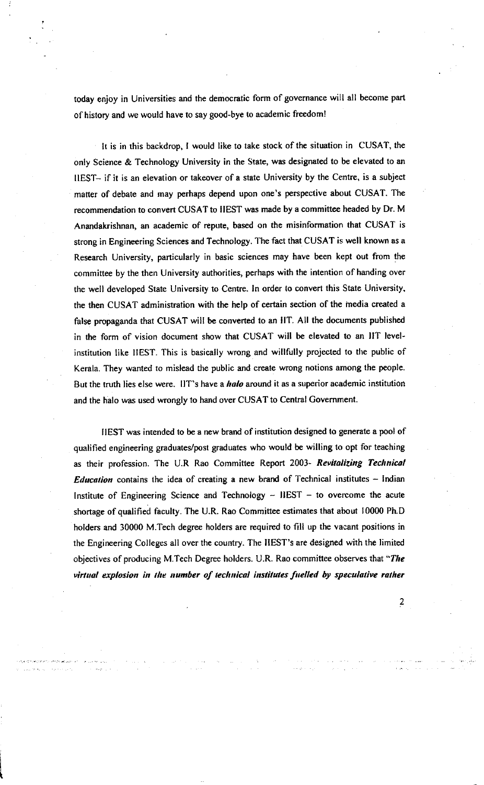today enjoy in Universities and the democratic form of governance will all become part of history and we would have to say good-bye to academic freedom!

It is in this backdrop, I would like to take stock of the situation in CUSAT, the only Science & Technology University in the State, was designated to be elevated to an IIEST- if it is an elevation or takeover of a state University by lhe Centre, is a subject matter of debate and may perhaps depend upon one's perspective about CUSAT. The recommendation to convert CUSAT to IIEST was made by a committee headed by Dr. M Anandakrishnan, an academic of repute, based on the misinformation that CUSAT is strong in Engineering Sciences and Technology. The fact that CUSAT is well known as a Research University, particularly in basic sciences may have been kept out from the committee by the then University authorities, perhaps with the intention of handing over the well developed State University to Centre. In order to convert this State University, the then CUSAT administration with the help of certain section of the inedia created a false propaganda that CUSAT will be converted to an IIT. All the documents published in the form of vision document show that CUSAT will be elevated to an llT level' institution like llEST. This is basically wrong and willfully projected to the public of Kerala. They wanted to mislead the public and create wrong notions among the people. But the truth lies else were. IIT's have a *halo* around it as a superior academic institution and the halo was used wrongly to hand over CUSAT to Central Government.

IIEST was intended to be a new brand of institution designed to generate a pool of qualified engineering graduates/post graduates who would be willing to opt for teaching as their profession. The U.R Rao Committee Report 2003- Revitalizing Technical *Education* contains the idea of creating a new brand of Technical institutes  $-$  Indian Institute of Engineering Science and Technology  $-$  IIEST  $-$  to overcome the acute shortage of qualified faculty. The U.R. Rao Committee estimates that about 10000 Ph.D holders and 30000 M.Tech degree holders are required to fill up the vacant positions in the Engineering Colleges all over the country. The IIEST's are designed with the limited objectives of producing M.Tech Degree holders. U.R. Rao committee observes that "The virtual explosion in the number of technical institutes fuelled by speculative rather

t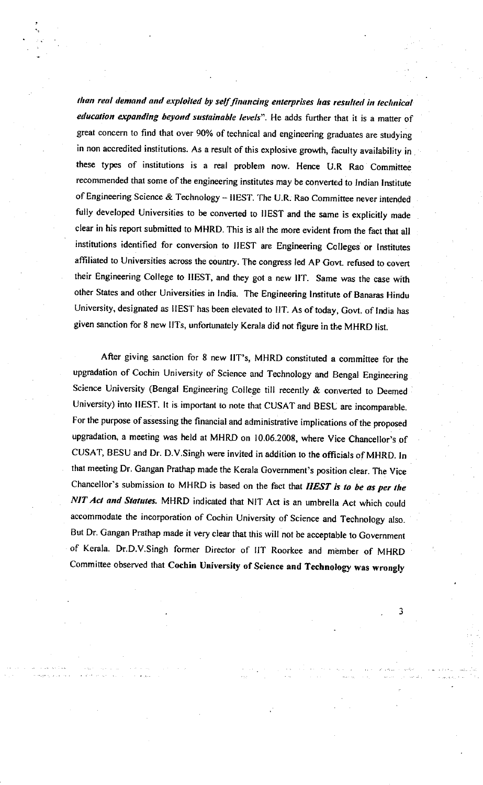than real demand and exploited by self financing enterprises has resulted in technical education expanding beyond sustainable levels". He adds further that it is a matter of great concern to find that over 90% of technical and engineering graduates are studying in non accredited institutions. As a result of this explosive growth, faculty availability in these types of institutions is a real problem now. Hence U.R Rao Committee recommended that some of the engineering institutes may be converted to Indian Institute of Engineering Science & Technology - IIEST. The U.R. Rao Committee never intended fully developed Universities to be converted to IIEST and the same is explicitly made clear in his report submitted to MHRD. This is all the more evident from the fact that all institutions identified for conversion to IIEST are Engineering Colleges or Institutes affiliated to Universities across the country. The congress led AP Govt. refused to covert their Engineering college to IIEST, and they got a new llr. Same was the case with other States and other Universities in India. The Engineering Institute of Banaras Hindu University, designated as IIEST has been elevated to IIT. As of today, Govt. of India has given sanction for 8 new IITs, unfortunately Kerala did not figure in the MHRD list.

After giving sanction for 8 new IIT's, MHRD constituted a committee for the upgradation of cochin University of science and rechnology and Eengal Engineering Science University (Bengal Engineering College till recently & converted to Deemed University) into IIEST. It is important to note that cUSAT and BESL are incomparable. For the purpose of assessing the financial and administrative implications of the proposed upgradation, a meeting was held at MHRD on 10.06.2008, where vice chancellor's of CUSAT, BESU and Dr. D.V.Singh were invited in addition to the officials of MHRD. In that meeting Dr. Gangan Prathap made the Kerala covernment's position clear. The vice Chancellor's submission to MHRD is based on the fact that IIEST is to be as per the NIT Act and Statutes. MHRD indicated that NIT Act is an umbrella Act which could accommodate the incorporation of Cochin University of Science and Technology also. But Dr. Gangan Prathap made it very clear that this will not be acceptable to Government of Kerala. Dr.D.V.Singh former Director of IIT Roorkee and member of MHRD Committee observed that Cochin University of Science and Technology was wrongly

J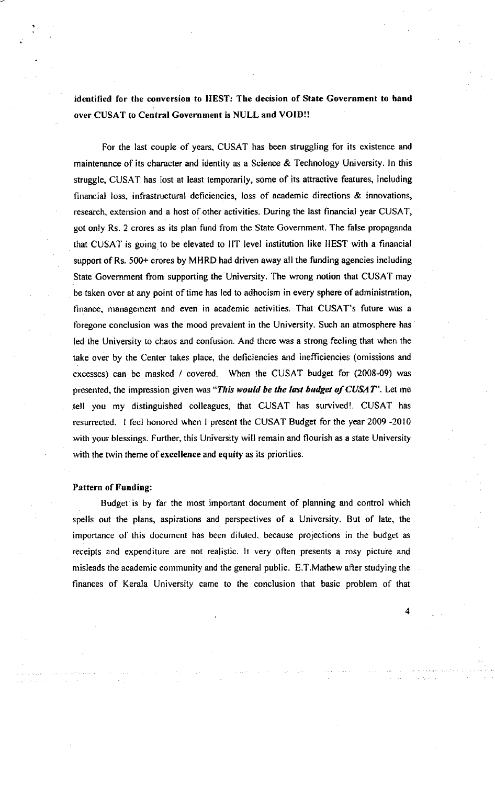identified for the conversion to IIEST: The decision of State Government to hand over CUSAT to Central Government is NULL and VOID!!

For the last couple of years, CUSAT has been struggling for its existence and maintenance of its character and identity as a Science & Technology University. ln this struggle, CUSAT has lost at least temporarily, some of its attractive features, including financial loss, infrastructural deficiencies, loss of academic directions & innovations, research, extension and a host of other activities. During the last financial year CUSAT, got only Rs. 2 crores as its plan fund from the State Government. The false propaganda that CUSAT is going to be elevated to IIT level institution like IIEST with a financial support of Rs. 500+ crores by MHRD had driven away all the funding agencies including State Government from supporting the University. The wrong notion that CUSAT may be taken over at any point of time has led to adhocism in every sphere of administration, tinance, management and even in academic activities. That CUSAT's future was <sup>a</sup> foregone conclusion was the mood prevalent in the University. Such an atmosphere has led the University to chaos and confusion. And there was a strong feeling that when the take over by the Center takes place, the deficiencies and inefficiencies (omissions and excesses) can be masked / covered. When the CUSAT budget for (2008-09) was presented, the impression given was "This would be the last budget of  $CUSAT$ ". Let me tell you my distinguished colleagues, that CUSAT has survived!. CUSAT has resurrected. 1 feel honored when I present the CUSAT Budget for the year 2009 -2010 with your blessings. Further, this University will remain and flourish as a state University with the twin theme of excellence and equity as its priorities.

#### Pattern of Funding:

Budget is by far the most important document of planning and control which spells out the plans, aspirations and perspectives of a University. But of late, the importance of this docurnent has been diluted, because projections in the budget as receipts and expenditure are not realistic. lt very often presents a rosy pictuie and misleads the academic community and the general public. E.T.Mathew after studying the finances of Kerala University came to the conclusion that basic problem of that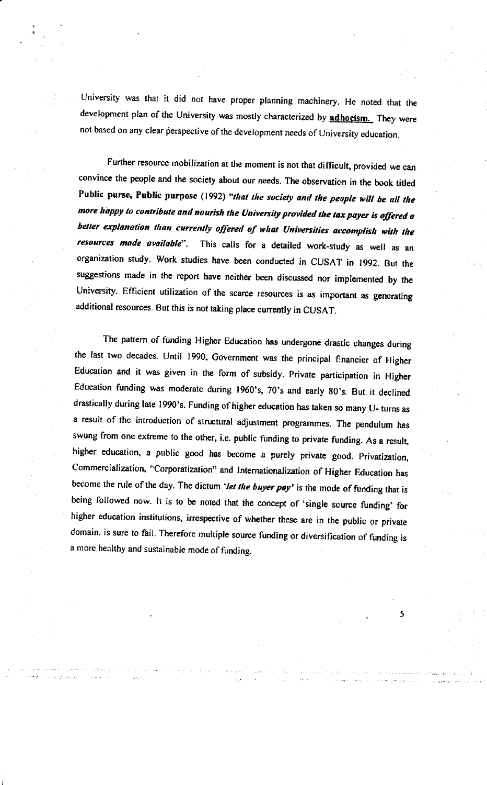University was that it did not have proper planning machinery. He noted that the development plan of the University was mostly characterized by *adhocism*. They were not based on any clear perspective of the development needs of University education.

Further resource mobilization at the moment is not that difficult, provided we can convince the people and the society about our needs. The observation in the book titled Public purse, Public purpose (1992) "that the society and the people will be all the more happy to contribute and nourish the University provided the tax payer is offered a better explanation than currently offered of what Universities accomplish with the This calls for a detailed work-study as well as an resources made available". organization study. Work studies have been conducted in CUSAT in 1992. But the suggestions made in the report have neither been discussed nor implemented by the University. Efficient utilization of the scarce resources is as important as generating additional resources. But this is not taking place currently in CUSAT.

The pattern of funding Higher Education has undergone drastic changes during the last two decades. Until 1990, Government was the principal financier of Higher Education and it was given in the form of subsidy. Private participation in Higher Education funding was moderate during 1960's, 70's and early 80's. But it declined drastically during late 1990's. Funding of higher education has taken so many U- turns as a result of the introduction of structural adjustment programmes. The pendulum has swung from one extreme to the other, i.e. public funding to private funding. As a result, higher education, a public good has become a purely private good. Privatization, Commercialization, "Corporatization" and Internationalization of Higher Education has become the rule of the day. The dictum 'let the buyer pay' is the mode of funding that is being followed now. It is to be noted that the concept of 'single source funding' for higher education institutions, irrespective of whether these are in the public or private domain, is sure to fail. Therefore multiple source funding or diversification of funding is a more healthy and sustainable mode of funding.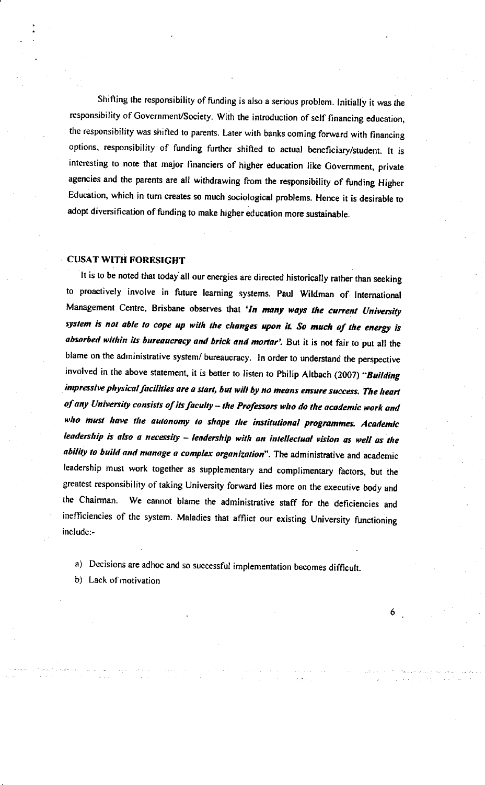Shifting the responsibility of funding is also a serious problem. Initially it was the responsibility of Government/Society. With the introduction of self financing education, the responsibility was shifted to parents. Later with banks coming forward with financing options, responsibility of funding further shifted to actual beneficiary/student. It is interesting to note that major financiers of higher education like Government, private agencies and the parents are all withdrawing from the responsibility of funding Higher Education, which in turn creates so much sociological problems. Hence it is desirable to adopt diversification of funding to make higher education more sustainable.

#### **CUSAT WITH FORESIGHT**

It is to be noted that today all our energies are directed historically rather than seeking to proactively involve in future learning systems. Paul Wildman of International Management Centre, Brisbane observes that 'In many ways the current University system is not able to cope up with the changes upon it. So much of the energy is absorbed within its bureaucracy and brick and mortar'. But it is not fair to put all the blame on the administrative system/ bureaucracy. In order to understand the perspective involved in the above statement, it is better to listen to Philip Altbach (2007) "Building impressive physical facilities are a start, but will by no means ensure success. The heart of any University consists of its faculty - the Professors who do the academic work and who must have the autonomy to shape the institutional programmes. Academic leadership is also a necessity - leadership with an intellectual vision as well as the ability to build and manage a complex organization". The administrative and academic leadership must work together as supplementary and complimentary factors, but the greatest responsibility of taking University forward lies more on the executive body and We cannot blame the administrative staff for the deficiencies and the Chairman. inefficiencies of the system. Maladies that afflict our existing University functioning include:-

a) Decisions are adhoc and so successful implementation becomes difficult.

b) Lack of motivation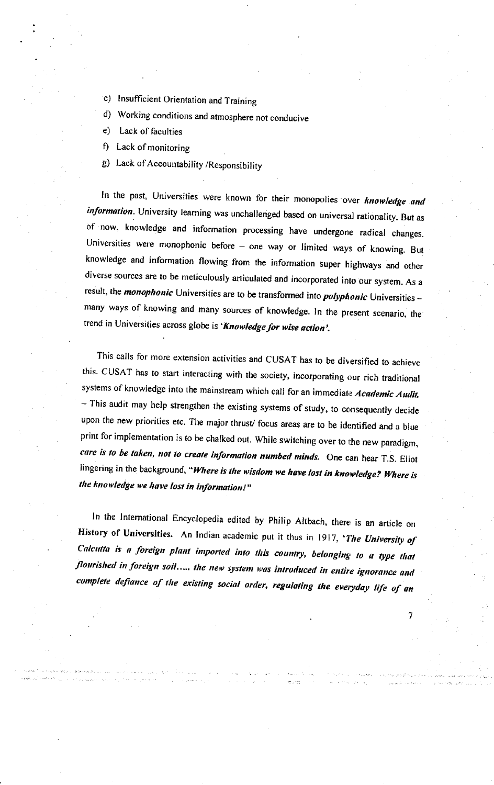- c) Insufficient Orientation and Training
- d) Working conditions and atmosphere not conducive
- $e)$ Lack of faculties
- f) Lack of monitoring
- g) Lack of Accountability /Responsibility

In the past, Universities were known for their monopolies over knowledge and information. University learning was unchallenged based on universal rationality. But as of now, knowledge and information processing have undergone radical changes. Universities were monophonic before - one way or limited ways of knowing. But knowledge and information flowing from the information super highways and other diverse sources are to be meticulously articulated and incorporated into our system. As a result, the *monophonic* Universities are to be transformed into *polyphonic* Universities many ways of knowing and many sources of knowledge. In the present scenario, the trend in Universities across globe is 'Knowledge for wise action'.

This calls for more extension activities and CUSAT has to be diversified to achieve this. CUSAT has to start interacting with the society, incorporating our rich traditional systems of knowledge into the mainstream which call for an immediate Academic Audit. - This audit may help strengthen the existing systems of study, to consequently decide upon the new priorities etc. The major thrust/focus areas are to be identified and a blue print for implementation is to be chalked out. While switching over to the new paradigm, care is to be taken, not to create information numbed minds. One can hear T.S. Eliot lingering in the background, "Where is the wisdom we have lost in knowledge? Where is the knowledge we have lost in information!"

In the International Encyclopedia edited by Philip Altbach, there is an article on History of Universities. An Indian academic put it thus in 1917, 'The University of Calcutta is a foreign plant imported into this country, belonging to a type that flourished in foreign soil..... the new system was introduced in entire ignorance and complete defiance of the existing social order, regulating the everyday life of an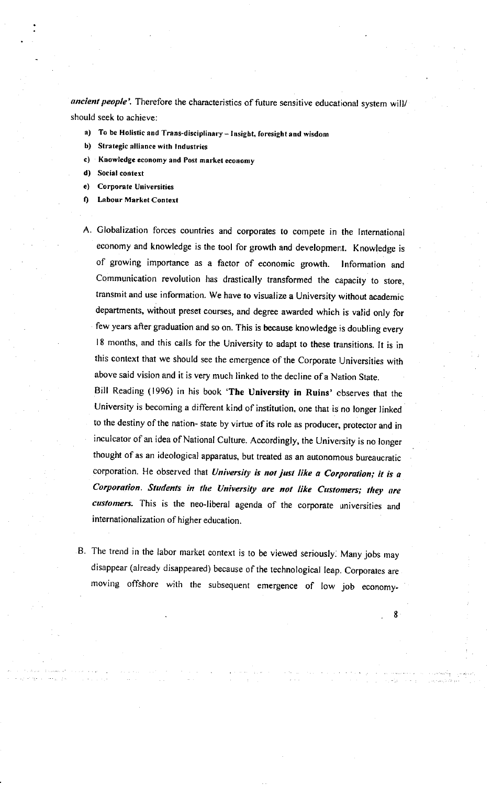ancient people'. Therefore the characteristics of future sensitive educational system will/ should seek to achieve:

- $a$ To be Holistic and Trans-disciplinary - Insight, foresight and wisdom
- $\mathbf{b}$ Strategic alliance with Industries
- Knowledge economy and Post market economy c)
- d) Social context
- **Corporate Universities**  $e)$
- $\mathbf{f}$ **Labour Market Context**
- A. Globalization forces countries and corporates to compete in the International economy and knowledge is the tool for growth and development. Knowledge is of growing importance as a factor of economic growth. Information and Communication revolution has drastically transformed the capacity to store, transmit and use information. We have to visualize a University without academic departments, without preset courses, and degree awarded which is valid only for few years after graduation and so on. This is because knowledge is doubling every 18 months, and this calls for the University to adapt to these transitions. It is in this context that we should see the emergence of the Corporate Universities with above said vision and it is very much linked to the decline of a Nation State.

Bill Reading (1996) in his book 'The University in Ruins' observes that the University is becoming a different kind of institution, one that is no longer linked to the destiny of the nation- state by virtue of its role as producer, protector and in inculcator of an idea of National Culture. Accordingly, the University is no longer thought of as an ideological apparatus, but treated as an autonomous bureaucratic corporation. He observed that University is not just like a Corporation; it is a Corporation. Students in the University are not like Customers; they are customers. This is the neo-liberal agenda of the corporate universities and internationalization of higher education.

B. The trend in the labor market context is to be viewed seriously. Many jobs may disappear (already disappeared) because of the technological leap. Corporates are moving offshore with the subsequent emergence of low job economy-

Я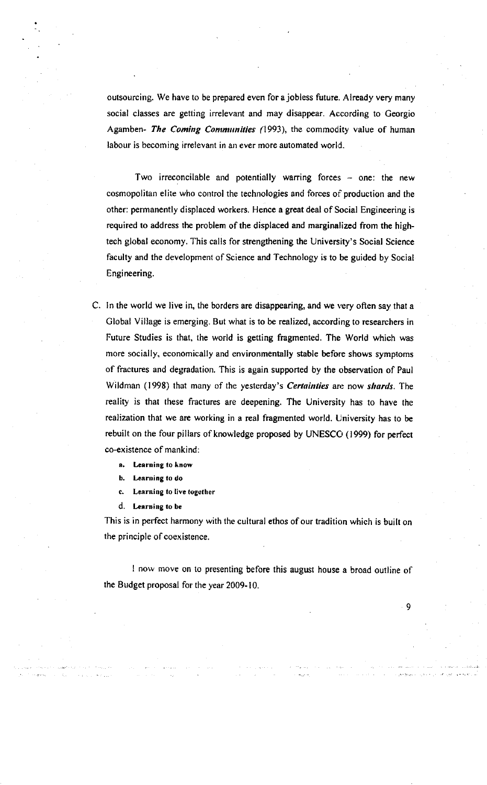outsourcing. We have to be prepared even for ajobless future. Already very many social classes are getting irrelevant and may disappear. According to Ceorgio Agamben- The Coming Communities (1993), the commodity value of human labour is becoming irrelevant in an ever more automated world.

Two irreconcilable and potentially warring forces  $-$  one: the new cosmopolitan elite who control the technologies and forces of production and the other: permanently displaced workers. Hence a great deal of Social Engineering is required to address the problem of the displaced and marginalized from the hightech global economy. This calls for strengthening the University's Social Science faculty and the development of Science and Technology is to be guided by Social Engineering.

C. In the world we live in, the borders are disappearing, and we very often say that <sup>a</sup> Clobal Village is emerging. But what is to be realized, according to researchers in Future Studies is that, the world is getting fragmented. The World which was more socially, economically and environmentally stable before shows symptoms of fractures and degradation. This is again supported by the observation of Paul Wildman (1998) that many of the yesterday's *Certainties* are now shards. The reality is that these fractures are deepening. The University has to have the realization that we are working in a real fragmented world. University has to be rebuilt on the four pillars of knowledge proposed by UNESCO (1999) for perfect co-existence of mankind:

- a. Learning to know
- b. Learning to do
- c. Learning to live together
- d. Learning to be

This is in perfect harmony with the cultural ethos of our tradition which is built on the principle of coexistence.

I now move on to presenting before this augusr house a broad outline of the Budget proposal for the year 2009- 10.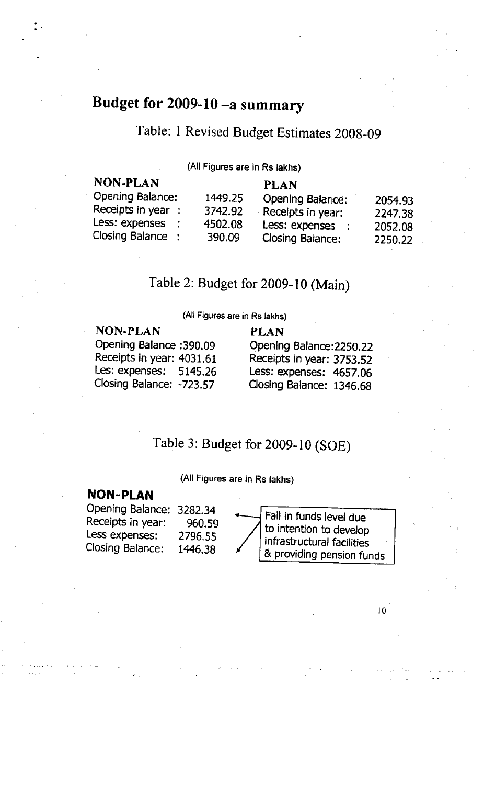# Budget for 2009-10 -a summary

## Table: I Revised Budget Estimates 2009\_09

(All Figures are in Rs lakhs)

| <b>NON-PLAN</b>          |         | <b>PLAN</b>              |         |
|--------------------------|---------|--------------------------|---------|
| Opening Balance:         | 1449.25 | <b>Opening Balarice:</b> | 2054.93 |
| Receipts in year $\cdot$ | 3742.92 | Receipts in year:        | 2247.38 |
| Less: expenses           | 4502.08 | Less: expenses<br>÷      | 2052.08 |
| Closing Balance :        | 390.09  | <b>Closing Balance:</b>  | 2250.22 |

## Table 2: Budget for 2009- l0 (Main)

(All Figures are in Rs lakhs)

NON-PLAN PLAN Opening Balance: 390.09 Opening Balance: 2250.22

Receipts in year: 4031.61 Receipts in year: 3753.52<br>Les: expenses: 5145.26 Less: expenses: 4657.06 Les: expenses: 5145.26 Less: expenses: 4657.06<br>Closing Balance: -723.57 Closing Balance: 1346.68 Closing Balance: 1346.68

### Table 3: Budget for 2009-10 (SOE)

(All Figures are in Rs lakhs)

### **NON-PLAN**

Opening Balance: 3282.34 Receipts in year: 960.59 Less expenses: 27g6.Ss Closing Balance: 1446.38

Fall in funds level due to intention to develop infrastructural facilities & providing pension funds

 $10<sup>°</sup>$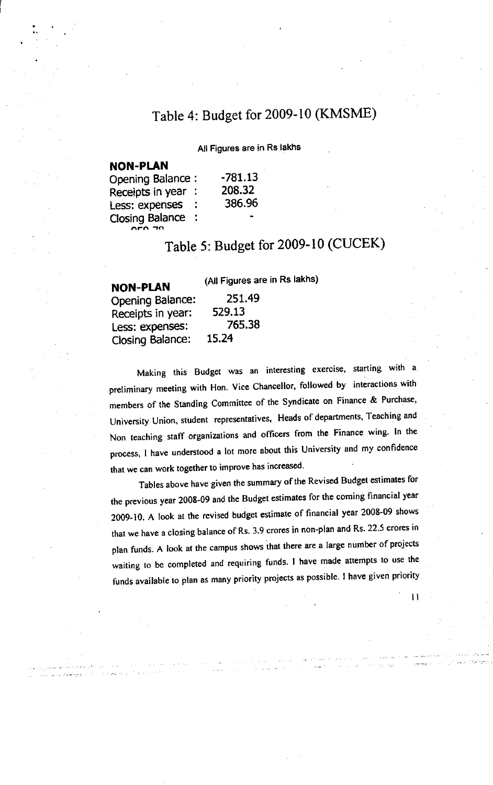# Table 4: Budget for 2009-10 (KMSME)

All Figures are in Rs lakhs

### **NON-PLAN**

| <b>Opening Balance:</b> |    | -781.13 |
|-------------------------|----|---------|
| Receipts in year :      |    | 208.32  |
| Less: expenses          | ÷  | 386.96  |
| <b>Closing Balance</b>  | t. | ۰.      |
| $0.50$ $70$             |    |         |

# Table 5: Budget for 2009-10 (CUCEK)

NON-PLAN Opening Balance: Receipts in Year: Less: expenses: Closing Balance:

(All Figures are in Rs lakhs)

25t.49

76s.38

529,13

15.24

Making this Budget was an interesting exercise, starting with a preliminary meeting with Hon. Vice Chancellor, followed by interactions with members of the Standing Committee of the Syndicate on Finance & Purchase, University Union, student representatives, Heads of departments, Teaching and Non teaching staff organizations and officers from the Finance wing. In the process, I have understood a lot more about this University and my confidence that we can work together to improve has increased.

Tables above have given the summary of the Revised Budget estimates for the previous year 2008-09 and the Budget estimates for the coming financial year 2009-10. A look at the revised budget estimate of financial year 2008-09 shows that we have a closing balance of Rs. 3.9 crores in non-plan and Rs. 22.5 crores in plan funds. A look at the campus shows that there are a large number of projects waiting to be completed and requiring funds. I have made attempts to use the funds available to plan as many priority projects as possible. I have given priority

ll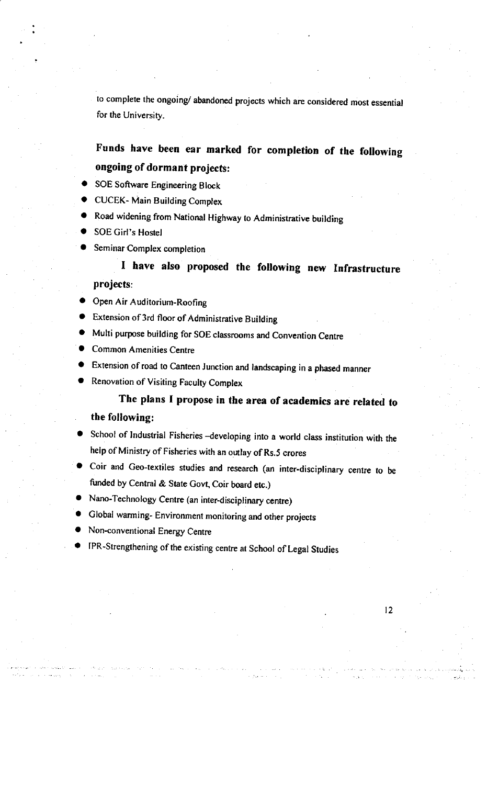to complete the ongoing/ abandoned projects which are considered most essential for the University.

## Funds have been ear marked for completion of the following ongoing of dormant projects:

- SOE Software Engineering Block
- CUCEK- Main Building Complex
- Road widening from National Highway to Administrative building
- SOE Girl's Hostel
- Seminar Complex completion

### I have also proposed the following new Infrastructure projects:

- Open Air Auditorium-Roofing
- Extension of 3rd floor of Administrative Building
- Multi purpose building for SOE classrooms and Convention Centre
- Common Amenities Centre
- Extension of road to Canteen Junction and landscaping in a phased manner
- Renovation of Visiting Faculty Complex

### The plans I propose in the area of academics are retated to the following:

- School of Industrial Fisheries -developing into a world class institution with the help of Ministry of Fisheries with an outlay of Rs.5 crores
- O coir and Geo-textiles studies and research (an inter-disciplinary centre to be funded by Central & State Govt, Coir board etc.)
- Nano-Technology Centre (an inter-disciplinary centre)
- Global warming- Environment monitoring and other projects
- Non-conventional Energy Centre
- IPR-Strengthening of the existing centre at School of Legal Studies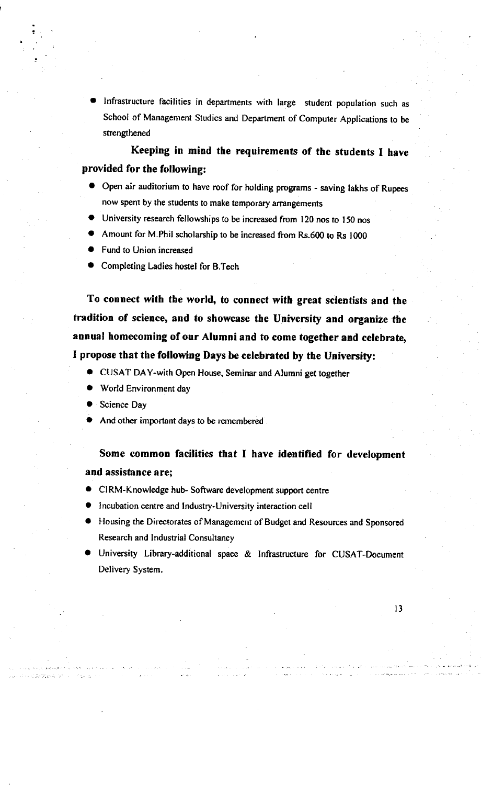Infrastructure facilities in departments with large student population such as School of Management Studies and Department of Computer Applications to be strengthened

Keeping in mind the requirements of the students I have provided for the following:

- a Open air auditorium to have roof for holding programs saving lakhs of Rupees now spent by the students to make temporary arrangements
- University research fellowships to be increased from 120 nos to 150 nos
- Amount for M.Phil scholarship to be increased from Rs.600 to Rs 1000
- Fund to Union increased
- Completing Ladies hostel for B.Tech

To connect with the world, to connect with great scientists and the tradition of science, and to showcase the University and organize the annual homecoming of our Alumni and to come together and cetebrate, I propose that the following Days be celebrated by the University:

- CUSAT DAY-with Open House, Seminar and Alumni get together
- World Environment day
- Science Day
- And other important days to be remembered

Some common facilities that I have identified for development and assistance are;

- CIRM-Knowledge hub- Software development support centre
- Incubation centre and Industry-University interaction cell
- Housing the Directorates of Management of Budget and Resources and Sponsored Research and Indusrial Consultancy
- **D** University Library-additional space & Infrastructure for CUSAT-Document Delivery System.

t3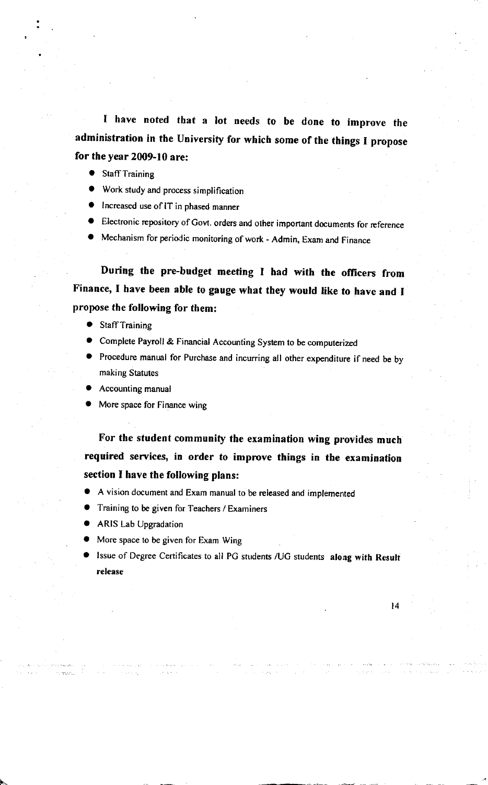I have noted that a lot needs to be done to improve the administration in the University for which some of the things I propose for the year  $2009-10$  are:

- **Staff Training**
- Work study and process simplification
- Increased use of IT in phased manner
- Electronic repository of Govt. orders and other important documents for reference
- Mechanism for periodic monitoring of work Admin, Exam and Finance

During the pre-budget meeting I had with the officers from Finance, I have been able to gauge what they would like to have and <sup>I</sup> propose the following for them:

- Staff Training
- Complete Payroll & Financial Accounting System to be computerized
- **•** Procedure manual for Purchase and incurring all other expenditure if need be by making Starutes
- Accounting manual
- More space for Finance wing

For the student community the examination wing provides much reguired services, in order to improve things in the examination section I have the following plans:

- A vision document and Exam manual to be released and implemented
- Training to be given for Teachers / Examiners
- a ARIS Lab Upgradation

>.-

- More space to be given for Exam Wing
- Issue of Degree Certificates to all PG students /UG students along with Result release

t4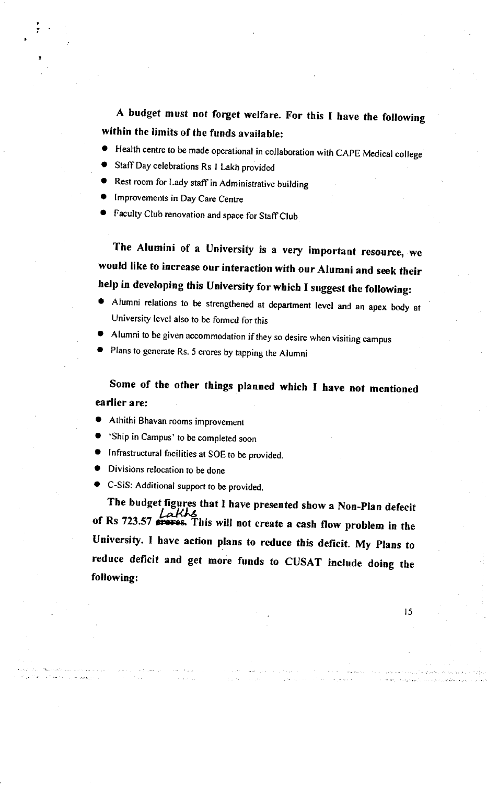A budget must not forget welfare. For this I have the following within the limits of the funds available:

- Health centre to be made operational in collaboration with CAPE Medical college
- Staff Day celebrations Rs 1 Lakh provided
- Rest room for Lady staff in Administrative building
- Improvements in Day Care Centre
- Faculty Club renovation and space for Staff Club

The Alumini of a University is a very important resource, we would like to increase our interaction with our Alumni and seek their help in developing this University for which I suggest the foltowing:

- o Alumni relations to be srrengthened at deparrment rever and an apex body at University level also to be formed for this
- Alumni to be given accommodation if they so desire when visiting campus
- Plans to generate Rs. 5 crores by tapping the Alumni

Some of the other things planned which I have not mentioned earlier a re:

- Athithi Bhavan rooms improvement
- 'Ship in Campus' to be completed soon
- Infrastructural facilities at SOE to be provided.
- Divisions relocation to be done
- C-SiS: Additional support to be provided.

The budget figures that I have presented show a Non-Plan defecit of Rs 723.57 **Earths**<br>of Rs 723.57 **everes.** This will not create a cash flow problem in the University. I have action plans to reduce this deficit. My plans to reduce deficit and get more funds to CUSAT include doing the following:

I5